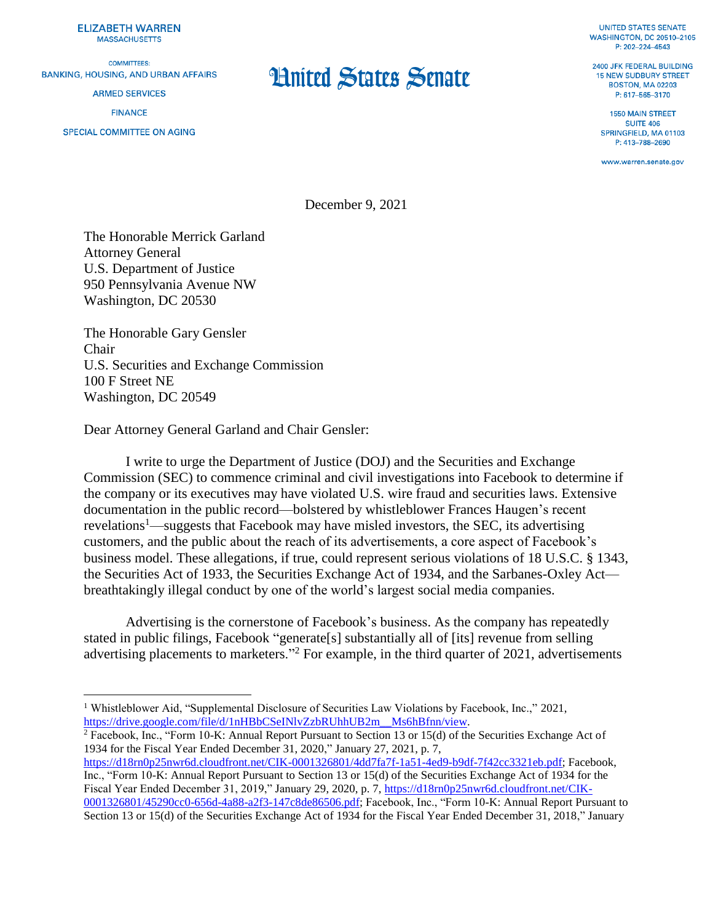**ELIZABETH WARREN MASSACHUSETTS** 

**COMMITTEES: BANKING, HOUSING, AND URBAN AFFAIRS ARMED SERVICES** 

**FINANCE** 

 $\overline{a}$ 

SPECIAL COMMITTEE ON AGING

## **Hnited States Senate**

**UNITED STATES SENATE WASHINGTON, DC 20510-2105** P: 202-224-4543

2400 JFK FEDERAL BUILDING **15 NEW SUDBURY STREET BOSTON, MA 02203** P: 617-565-3170

**1550 MAIN STREET SUITE 406** SPRINGFIELD, MA 01103 P: 413-788-2690

www.warren.senate.gov

December 9, 2021

The Honorable Merrick Garland Attorney General U.S. Department of Justice 950 Pennsylvania Avenue NW Washington, DC 20530

The Honorable Gary Gensler Chair U.S. Securities and Exchange Commission 100 F Street NE Washington, DC 20549

Dear Attorney General Garland and Chair Gensler:

I write to urge the Department of Justice (DOJ) and the Securities and Exchange Commission (SEC) to commence criminal and civil investigations into Facebook to determine if the company or its executives may have violated U.S. wire fraud and securities laws. Extensive documentation in the public record—bolstered by whistleblower Frances Haugen's recent revelations<sup>1</sup>—suggests that Facebook may have misled investors, the SEC, its advertising customers, and the public about the reach of its advertisements, a core aspect of Facebook's business model. These allegations, if true, could represent serious violations of 18 U.S.C. § 1343, the Securities Act of 1933, the Securities Exchange Act of 1934, and the Sarbanes-Oxley Act breathtakingly illegal conduct by one of the world's largest social media companies.

Advertising is the cornerstone of Facebook's business. As the company has repeatedly stated in public filings, Facebook "generate[s] substantially all of [its] revenue from selling advertising placements to marketers."<sup>2</sup> For example, in the third quarter of 2021, advertisements

<sup>2</sup> Facebook, Inc., "Form 10-K: Annual Report Pursuant to Section 13 or 15(d) of the Securities Exchange Act of 1934 for the Fiscal Year Ended December 31, 2020," January 27, 2021, p. 7,

[https://d18rn0p25nwr6d.cloudfront.net/CIK-0001326801/4dd7fa7f-1a51-4ed9-b9df-7f42cc3321eb.pdf;](https://d18rn0p25nwr6d.cloudfront.net/CIK-0001326801/4dd7fa7f-1a51-4ed9-b9df-7f42cc3321eb.pdf) Facebook, Inc., "Form 10-K: Annual Report Pursuant to Section 13 or 15(d) of the Securities Exchange Act of 1934 for the Fiscal Year Ended December 31, 2019," January 29, 2020, p. 7, [https://d18rn0p25nwr6d.cloudfront.net/CIK-](https://d18rn0p25nwr6d.cloudfront.net/CIK-0001326801/45290cc0-656d-4a88-a2f3-147c8de86506.pdf)[0001326801/45290cc0-656d-4a88-a2f3-147c8de86506.pdf;](https://d18rn0p25nwr6d.cloudfront.net/CIK-0001326801/45290cc0-656d-4a88-a2f3-147c8de86506.pdf) Facebook, Inc., "Form 10-K: Annual Report Pursuant to Section 13 or 15(d) of the Securities Exchange Act of 1934 for the Fiscal Year Ended December 31, 2018," January

<sup>1</sup> Whistleblower Aid, "Supplemental Disclosure of Securities Law Violations by Facebook, Inc.," 2021, [https://drive.google.com/file/d/1nHBbCSeINlvZzbRUhhUB2m\\_\\_Ms6hBfnn/view.](https://drive.google.com/file/d/1nHBbCSeINlvZzbRUhhUB2m__Ms6hBfnn/view)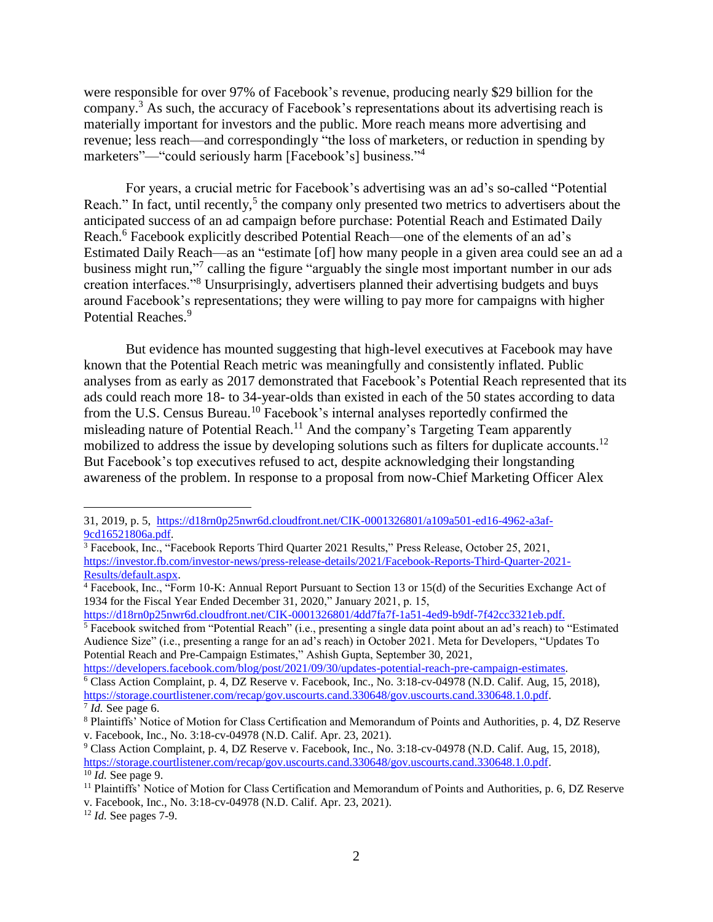were responsible for over 97% of Facebook's revenue, producing nearly \$29 billion for the company. <sup>3</sup> As such, the accuracy of Facebook's representations about its advertising reach is materially important for investors and the public. More reach means more advertising and revenue; less reach—and correspondingly "the loss of marketers, or reduction in spending by marketers"—"could seriously harm [Facebook's] business."<sup>4</sup>

For years, a crucial metric for Facebook's advertising was an ad's so-called "Potential Reach." In fact, until recently, $5$  the company only presented two metrics to advertisers about the anticipated success of an ad campaign before purchase: Potential Reach and Estimated Daily Reach.<sup>6</sup> Facebook explicitly described Potential Reach—one of the elements of an ad's Estimated Daily Reach—as an "estimate [of] how many people in a given area could see an ad a business might run,"<sup>7</sup> calling the figure "arguably the single most important number in our ads creation interfaces."<sup>8</sup> Unsurprisingly, advertisers planned their advertising budgets and buys around Facebook's representations; they were willing to pay more for campaigns with higher Potential Reaches.<sup>9</sup>

But evidence has mounted suggesting that high-level executives at Facebook may have known that the Potential Reach metric was meaningfully and consistently inflated. Public analyses from as early as 2017 demonstrated that Facebook's Potential Reach represented that its ads could reach more 18- to 34-year-olds than existed in each of the 50 states according to data from the U.S. Census Bureau.<sup>10</sup> Facebook's internal analyses reportedly confirmed the misleading nature of Potential Reach.<sup>11</sup> And the company's Targeting Team apparently mobilized to address the issue by developing solutions such as filters for duplicate accounts.<sup>12</sup> But Facebook's top executives refused to act, despite acknowledging their longstanding awareness of the problem. In response to a proposal from now-Chief Marketing Officer Alex

[https://d18rn0p25nwr6d.cloudfront.net/CIK-0001326801/4dd7fa7f-1a51-4ed9-b9df-7f42cc3321eb.pdf.](https://d18rn0p25nwr6d.cloudfront.net/CIK-0001326801/4dd7fa7f-1a51-4ed9-b9df-7f42cc3321eb.pdf)

<sup>5</sup> Facebook switched from "Potential Reach" (i.e., presenting a single data point about an ad's reach) to "Estimated Audience Size" (i.e., presenting a range for an ad's reach) in October 2021. Meta for Developers, "Updates To Potential Reach and Pre-Campaign Estimates," Ashish Gupta, September 30, 2021,

[https://developers.facebook.com/blog/post/2021/09/30/updates-potential-reach-pre-campaign-estimates.](https://developers.facebook.com/blog/post/2021/09/30/updates-potential-reach-pre-campaign-estimates) <sup>6</sup> Class Action Complaint, p. 4, DZ Reserve v. Facebook, Inc., No. 3:18-cv-04978 (N.D. Calif. Aug, 15, 2018), [https://storage.courtlistener.com/recap/gov.uscourts.cand.330648/gov.uscourts.cand.330648.1.0.pdf.](https://storage.courtlistener.com/recap/gov.uscourts.cand.330648/gov.uscourts.cand.330648.1.0.pdf)

 $\overline{a}$ 

<sup>31, 2019,</sup> p. 5, [https://d18rn0p25nwr6d.cloudfront.net/CIK-0001326801/a109a501-ed16-4962-a3af-](https://d18rn0p25nwr6d.cloudfront.net/CIK-0001326801/a109a501-ed16-4962-a3af-9cd16521806a.pdf)[9cd16521806a.pdf.](https://d18rn0p25nwr6d.cloudfront.net/CIK-0001326801/a109a501-ed16-4962-a3af-9cd16521806a.pdf)

<sup>&</sup>lt;sup>3</sup> Facebook, Inc., "Facebook Reports Third Quarter 2021 Results," Press Release, October 25, 2021, [https://investor.fb.com/investor-news/press-release-details/2021/Facebook-Reports-Third-Quarter-2021-](https://investor.fb.com/investor-news/press-release-details/2021/Facebook-Reports-Third-Quarter-2021-Results/default.aspx) [Results/default.aspx.](https://investor.fb.com/investor-news/press-release-details/2021/Facebook-Reports-Third-Quarter-2021-Results/default.aspx)

<sup>4</sup> Facebook, Inc., "Form 10-K: Annual Report Pursuant to Section 13 or 15(d) of the Securities Exchange Act of 1934 for the Fiscal Year Ended December 31, 2020," January 2021, p. 15,

<sup>7</sup> *Id.* See page 6.

<sup>8</sup> Plaintiffs' Notice of Motion for Class Certification and Memorandum of Points and Authorities, p. 4, DZ Reserve v. Facebook, Inc., No. 3:18-cv-04978 (N.D. Calif. Apr. 23, 2021).

<sup>9</sup> Class Action Complaint, p. 4, DZ Reserve v. Facebook, Inc., No. 3:18-cv-04978 (N.D. Calif. Aug, 15, 2018), [https://storage.courtlistener.com/recap/gov.uscourts.cand.330648/gov.uscourts.cand.330648.1.0.pdf.](https://storage.courtlistener.com/recap/gov.uscourts.cand.330648/gov.uscourts.cand.330648.1.0.pdf)  $\frac{10}{10}$  *Id.* See page 9.

<sup>&</sup>lt;sup>11</sup> Plaintiffs' Notice of Motion for Class Certification and Memorandum of Points and Authorities, p. 6, DZ Reserve

v. Facebook, Inc., No. 3:18-cv-04978 (N.D. Calif. Apr. 23, 2021).

<sup>12</sup> *Id.* See pages 7-9.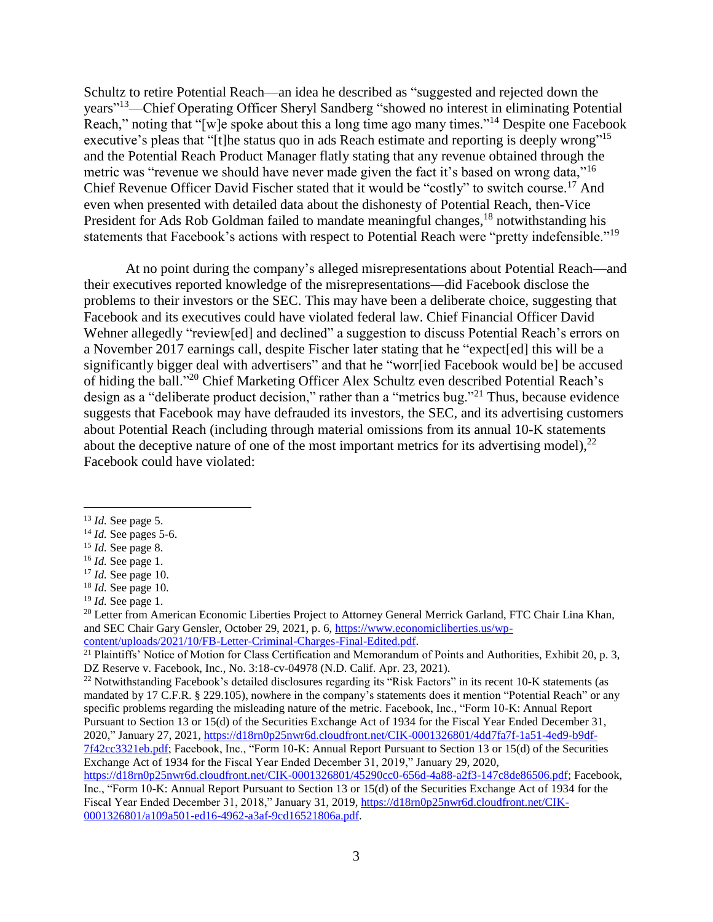Schultz to retire Potential Reach—an idea he described as "suggested and rejected down the years"<sup>13</sup>—Chief Operating Officer Sheryl Sandberg "showed no interest in eliminating Potential Reach," noting that "[w]e spoke about this a long time ago many times."<sup>14</sup> Despite one Facebook executive's pleas that "[t]he status quo in ads Reach estimate and reporting is deeply wrong"<sup>15</sup> and the Potential Reach Product Manager flatly stating that any revenue obtained through the metric was "revenue we should have never made given the fact it's based on wrong data,"<sup>16</sup> Chief Revenue Officer David Fischer stated that it would be "costly" to switch course.<sup>17</sup> And even when presented with detailed data about the dishonesty of Potential Reach, then-Vice President for Ads Rob Goldman failed to mandate meaningful changes, <sup>18</sup> notwithstanding his statements that Facebook's actions with respect to Potential Reach were "pretty indefensible."<sup>19</sup>

At no point during the company's alleged misrepresentations about Potential Reach—and their executives reported knowledge of the misrepresentations—did Facebook disclose the problems to their investors or the SEC. This may have been a deliberate choice, suggesting that Facebook and its executives could have violated federal law. Chief Financial Officer David Wehner allegedly "review[ed] and declined" a suggestion to discuss Potential Reach's errors on a November 2017 earnings call, despite Fischer later stating that he "expect[ed] this will be a significantly bigger deal with advertisers" and that he "worr[ied Facebook would be] be accused of hiding the ball."<sup>20</sup> Chief Marketing Officer Alex Schultz even described Potential Reach's design as a "deliberate product decision," rather than a "metrics bug."<sup>21</sup> Thus, because evidence suggests that Facebook may have defrauded its investors, the SEC, and its advertising customers about Potential Reach (including through material omissions from its annual 10-K statements about the deceptive nature of one of the most important metrics for its advertising model),  $^{22}$ Facebook could have violated:

 $\overline{a}$ 

<sup>20</sup> Letter from American Economic Liberties Project to Attorney General Merrick Garland, FTC Chair Lina Khan, and SEC Chair Gary Gensler, October 29, 2021, p. 6, [https://www.economicliberties.us/wp](https://www.economicliberties.us/wp-content/uploads/2021/10/FB-Letter-Criminal-Charges-Final-Edited.pdf)[content/uploads/2021/10/FB-Letter-Criminal-Charges-Final-Edited.pdf.](https://www.economicliberties.us/wp-content/uploads/2021/10/FB-Letter-Criminal-Charges-Final-Edited.pdf)

[7f42cc3321eb.pdf;](https://d18rn0p25nwr6d.cloudfront.net/CIK-0001326801/4dd7fa7f-1a51-4ed9-b9df-7f42cc3321eb.pdf) Facebook, Inc., "Form 10-K: Annual Report Pursuant to Section 13 or 15(d) of the Securities Exchange Act of 1934 for the Fiscal Year Ended December 31, 2019," January 29, 2020,

[https://d18rn0p25nwr6d.cloudfront.net/CIK-0001326801/45290cc0-656d-4a88-a2f3-147c8de86506.pdf;](https://d18rn0p25nwr6d.cloudfront.net/CIK-0001326801/45290cc0-656d-4a88-a2f3-147c8de86506.pdf) Facebook, Inc., "Form 10-K: Annual Report Pursuant to Section 13 or 15(d) of the Securities Exchange Act of 1934 for the Fiscal Year Ended December 31, 2018," January 31, 2019, [https://d18rn0p25nwr6d.cloudfront.net/CIK-](https://d18rn0p25nwr6d.cloudfront.net/CIK-0001326801/a109a501-ed16-4962-a3af-9cd16521806a.pdf)[0001326801/a109a501-ed16-4962-a3af-9cd16521806a.pdf.](https://d18rn0p25nwr6d.cloudfront.net/CIK-0001326801/a109a501-ed16-4962-a3af-9cd16521806a.pdf)

<sup>13</sup> *Id.* See page 5.

<sup>14</sup> *Id.* See pages 5-6.

<sup>15</sup> *Id.* See page 8.

<sup>16</sup> *Id.* See page 1.

<sup>17</sup> *Id.* See page 10.

<sup>18</sup> *Id.* See page 10.

<sup>19</sup> *Id.* See page 1.

 $^{21}$  Plaintiffs' Notice of Motion for Class Certification and Memorandum of Points and Authorities, Exhibit 20, p. 3, DZ Reserve v. Facebook, Inc., No. 3:18-cv-04978 (N.D. Calif. Apr. 23, 2021).

<sup>&</sup>lt;sup>22</sup> Notwithstanding Facebook's detailed disclosures regarding its "Risk Factors" in its recent 10-K statements (as mandated by 17 C.F.R. § 229.105), nowhere in the company's statements does it mention "Potential Reach" or any specific problems regarding the misleading nature of the metric. Facebook, Inc., "Form 10-K: Annual Report Pursuant to Section 13 or 15(d) of the Securities Exchange Act of 1934 for the Fiscal Year Ended December 31, 2020," January 27, 2021, [https://d18rn0p25nwr6d.cloudfront.net/CIK-0001326801/4dd7fa7f-1a51-4ed9-b9df-](https://d18rn0p25nwr6d.cloudfront.net/CIK-0001326801/4dd7fa7f-1a51-4ed9-b9df-7f42cc3321eb.pdf)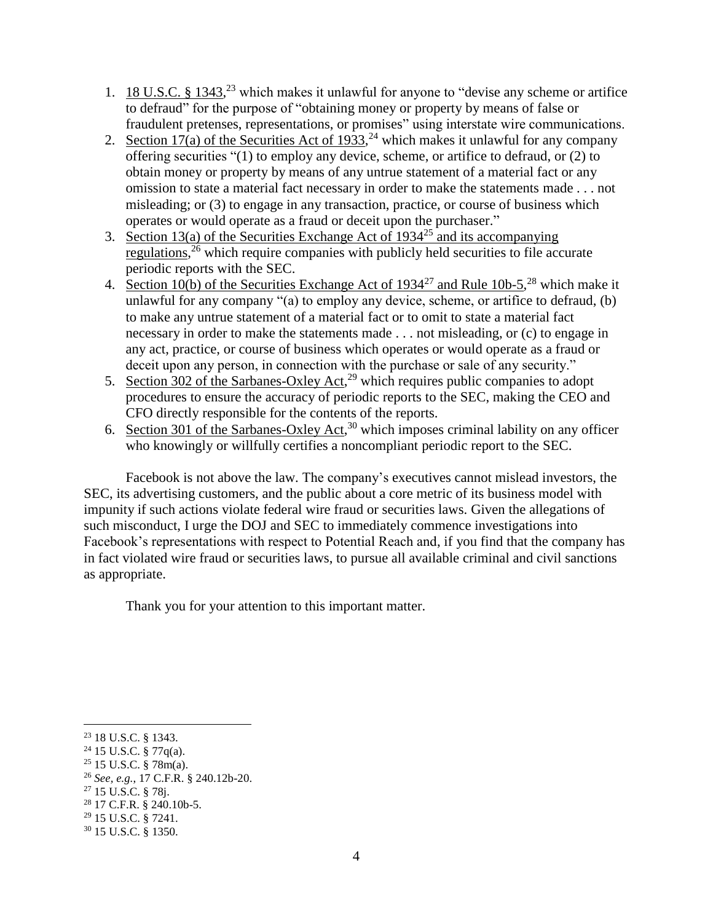- 1. 18 U.S.C.  $\S 1343$ ,<sup>23</sup> which makes it unlawful for anyone to "devise any scheme or artifice to defraud" for the purpose of "obtaining money or property by means of false or fraudulent pretenses, representations, or promises" using interstate wire communications.
- 2. Section 17(a) of the Securities Act of 1933,<sup>24</sup> which makes it unlawful for any company offering securities "(1) to employ any device, scheme, or artifice to defraud, or (2) to obtain money or property by means of any untrue statement of a material fact or any omission to state a material fact necessary in order to make the statements made . . . not misleading; or (3) to engage in any transaction, practice, or course of business which operates or would operate as a fraud or deceit upon the purchaser."
- 3. Section 13(a) of the Securities Exchange Act of  $1934^{25}$  and its accompanying regulations,<sup>26</sup> which require companies with publicly held securities to file accurate periodic reports with the SEC.
- 4. Section 10(b) of the Securities Exchange Act of  $1934^{27}$  and Rule 10b-5,<sup>28</sup> which make it unlawful for any company "(a) to employ any device, scheme, or artifice to defraud, (b) to make any untrue statement of a material fact or to omit to state a material fact necessary in order to make the statements made . . . not misleading, or (c) to engage in any act, practice, or course of business which operates or would operate as a fraud or deceit upon any person, in connection with the purchase or sale of any security."
- 5. Section 302 of the Sarbanes-Oxley Act,<sup>29</sup> which requires public companies to adopt procedures to ensure the accuracy of periodic reports to the SEC, making the CEO and CFO directly responsible for the contents of the reports.
- 6. Section 301 of the Sarbanes-Oxley Act,<sup>30</sup> which imposes criminal lability on any officer who knowingly or willfully certifies a noncompliant periodic report to the SEC.

Facebook is not above the law. The company's executives cannot mislead investors, the SEC, its advertising customers, and the public about a core metric of its business model with impunity if such actions violate federal wire fraud or securities laws. Given the allegations of such misconduct, I urge the DOJ and SEC to immediately commence investigations into Facebook's representations with respect to Potential Reach and, if you find that the company has in fact violated wire fraud or securities laws, to pursue all available criminal and civil sanctions as appropriate.

Thank you for your attention to this important matter.

 $\overline{a}$ 

<sup>23</sup> 18 U.S.C. § 1343.

<sup>24</sup> 15 U.S.C. § 77q(a).

 $25$  15 U.S.C. § 78m(a).

<sup>26</sup> *See, e.g.*, 17 C.F.R. § 240.12b-20.

<sup>27</sup> 15 U.S.C. § 78j.

<sup>28</sup> 17 C.F.R. § 240.10b-5.

<sup>29</sup> 15 U.S.C. § 7241.

<sup>30</sup> 15 U.S.C. § 1350.